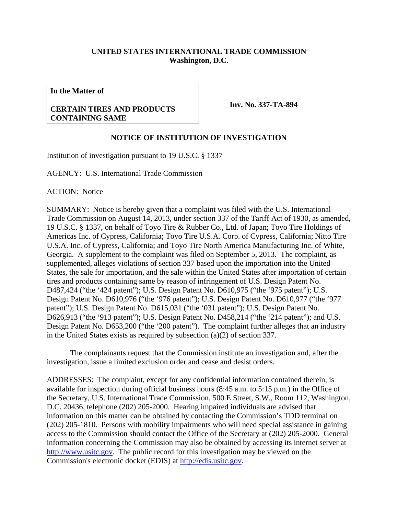## **UNITED STATES INTERNATIONAL TRADE COMMISSION Washington, D.C.**

**In the Matter of** 

## **CERTAIN TIRES AND PRODUCTS CONTAINING SAME**

**Inv. No. 337-TA-894**

## **NOTICE OF INSTITUTION OF INVESTIGATION**

Institution of investigation pursuant to 19 U.S.C. § 1337

AGENCY: U.S. International Trade Commission

ACTION: Notice

SUMMARY: Notice is hereby given that a complaint was filed with the U.S. International Trade Commission on August 14, 2013, under section 337 of the Tariff Act of 1930, as amended, 19 U.S.C. § 1337, on behalf of Toyo Tire & Rubber Co., Ltd. of Japan; Toyo Tire Holdings of Americas Inc. of Cypress, California; Toyo Tire U.S.A. Corp. of Cypress, California; Nitto Tire U.S.A. Inc. of Cypress, California; and Toyo Tire North America Manufacturing Inc. of White, Georgia. A supplement to the complaint was filed on September 5, 2013. The complaint, as supplemented, alleges violations of section 337 based upon the importation into the United States, the sale for importation, and the sale within the United States after importation of certain tires and products containing same by reason of infringement of U.S. Design Patent No. D487,424 ("the '424 patent"); U.S. Design Patent No. D610,975 ("the '975 patent"); U.S. Design Patent No. D610,976 ("the '976 patent"); U.S. Design Patent No. D610,977 ("the '977 patent"); U.S. Design Patent No. D615,031 ("the '031 patent"); U.S. Design Patent No. D626,913 ("the '913 patent"); U.S. Design Patent No. D458,214 ("the '214 patent"); and U.S. Design Patent No. D653,200 ("the '200 patent"). The complaint further alleges that an industry in the United States exists as required by subsection (a)(2) of section 337.

 The complainants request that the Commission institute an investigation and, after the investigation, issue a limited exclusion order and cease and desist orders.

ADDRESSES: The complaint, except for any confidential information contained therein, is available for inspection during official business hours (8:45 a.m. to 5:15 p.m.) in the Office of the Secretary, U.S. International Trade Commission, 500 E Street, S.W., Room 112, Washington, D.C. 20436, telephone (202) 205-2000. Hearing impaired individuals are advised that information on this matter can be obtained by contacting the Commission's TDD terminal on (202) 205-1810. Persons with mobility impairments who will need special assistance in gaining access to the Commission should contact the Office of the Secretary at (202) 205-2000. General information concerning the Commission may also be obtained by accessing its internet server at http://www.usitc.gov. The public record for this investigation may be viewed on the Commission's electronic docket (EDIS) at http://edis.usitc.gov.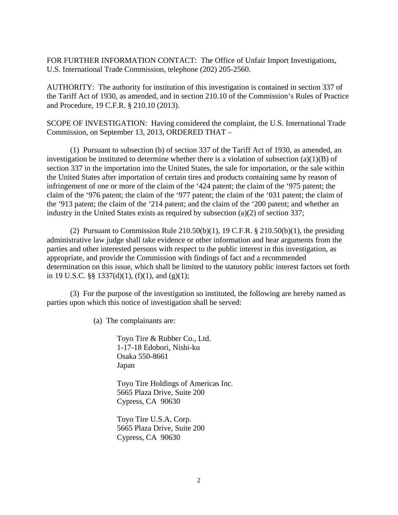FOR FURTHER INFORMATION CONTACT: The Office of Unfair Import Investigations, U.S. International Trade Commission, telephone (202) 205-2560.

AUTHORITY: The authority for institution of this investigation is contained in section 337 of the Tariff Act of 1930, as amended, and in section 210.10 of the Commission's Rules of Practice and Procedure, 19 C.F.R. § 210.10 (2013).

SCOPE OF INVESTIGATION: Having considered the complaint, the U.S. International Trade Commission, on September 13, 2013, ORDERED THAT –

 (1) Pursuant to subsection (b) of section 337 of the Tariff Act of 1930, as amended, an investigation be instituted to determine whether there is a violation of subsection  $(a)(1)(B)$  of section 337 in the importation into the United States, the sale for importation, or the sale within the United States after importation of certain tires and products containing same by reason of infringement of one or more of the claim of the '424 patent; the claim of the '975 patent; the claim of the '976 patent; the claim of the '977 patent; the claim of the '031 patent; the claim of the '913 patent; the claim of the '214 patent; and the claim of the '200 patent; and whether an industry in the United States exists as required by subsection (a)(2) of section 337;

(2) Pursuant to Commission Rule  $210.50(b)(1)$ , 19 C.F.R. §  $210.50(b)(1)$ , the presiding administrative law judge shall take evidence or other information and hear arguments from the parties and other interested persons with respect to the public interest in this investigation, as appropriate, and provide the Commission with findings of fact and a recommended determination on this issue, which shall be limited to the statutory public interest factors set forth in 19 U.S.C. §§ 1337(d)(1), (f)(1), and (g)(1);

 (3) For the purpose of the investigation so instituted, the following are hereby named as parties upon which this notice of investigation shall be served:

(a) The complainants are:

Toyo Tire & Rubber Co., Ltd. 1-17-18 Edobori, Nishi-ku Osaka 550-8661 Japan

Toyo Tire Holdings of Americas Inc. 5665 Plaza Drive, Suite 200 Cypress, CA 90630

Toyo Tire U.S.A. Corp. 5665 Plaza Drive, Suite 200 Cypress, CA 90630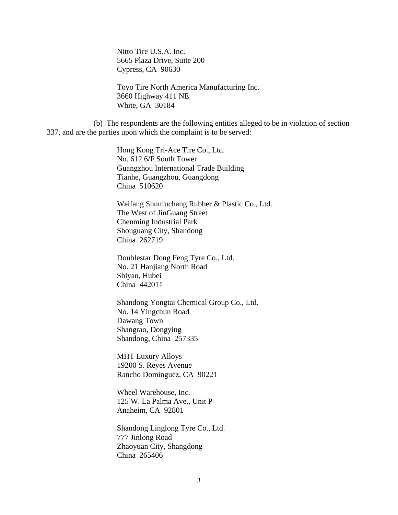Nitto Tire U.S.A. Inc. 5665 Plaza Drive, Suite 200 Cypress, CA 90630

Toyo Tire North America Manufacturing Inc. 3660 Highway 411 NE White, GA 30184

 (b) The respondents are the following entities alleged to be in violation of section 337, and are the parties upon which the complaint is to be served:

> Hong Kong Tri-Ace Tire Co., Ltd. No. 612 6/F South Tower Guangzhou International Trade Building Tianhe, Guangzhou, Guangdong China 510620

 Weifang Shunfuchang Rubber & Plastic Co., Ltd. The West of JinGuang Street Chenming Industrial Park Shouguang City, Shandong China 262719

 Doublestar Dong Feng Tyre Co., Ltd. No. 21 Hanjiang North Road Shiyan, Hubei China 442011

 Shandong Yongtai Chemical Group Co., Ltd. No. 14 Yingchun Road Dawang Town Shangrao, Dongying Shandong, China 257335

 MHT Luxury Alloys 19200 S. Reyes Avenue Rancho Dominguez, CA 90221

 Wheel Warehouse, Inc. 125 W. La Palma Ave., Unit P Anaheim, CA 92801

 Shandong Linglong Tyre Co., Ltd. 777 Jinlong Road Zhaoyuan City, Shangdong China 265406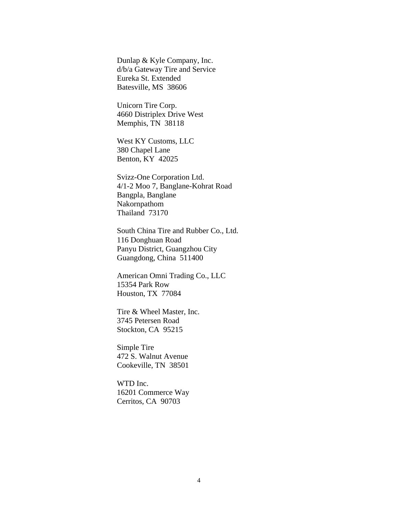Dunlap & Kyle Company, Inc. d/b/a Gateway Tire and Service Eureka St. Extended Batesville, MS 38606

 Unicorn Tire Corp. 4660 Distriplex Drive West Memphis, TN 38118

 West KY Customs, LLC 380 Chapel Lane Benton, KY 42025

 Svizz-One Corporation Ltd. 4/1-2 Moo 7, Banglane-Kohrat Road Bangpla, Banglane Nakornpathom Thailand 73170

 South China Tire and Rubber Co., Ltd. 116 Donghuan Road Panyu District, Guangzhou City Guangdong, China 511400

 American Omni Trading Co., LLC 15354 Park Row Houston, TX 77084

 Tire & Wheel Master, Inc. 3745 Petersen Road Stockton, CA 95215

 Simple Tire 472 S. Walnut Avenue Cookeville, TN 38501

 WTD Inc. 16201 Commerce Way Cerritos, CA 90703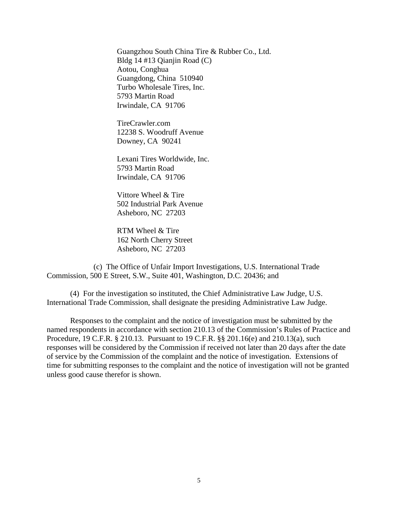Guangzhou South China Tire & Rubber Co., Ltd. Bldg 14 #13 Qianjin Road (C) Aotou, Conghua Guangdong, China 510940 Turbo Wholesale Tires, Inc. 5793 Martin Road Irwindale, CA 91706

 TireCrawler.com 12238 S. Woodruff Avenue Downey, CA 90241

 Lexani Tires Worldwide, Inc. 5793 Martin Road Irwindale, CA 91706

 Vittore Wheel & Tire 502 Industrial Park Avenue Asheboro, NC 27203

 RTM Wheel & Tire 162 North Cherry Street Asheboro, NC 27203

 (c) The Office of Unfair Import Investigations, U.S. International Trade Commission, 500 E Street, S.W., Suite 401, Washington, D.C. 20436; and

 (4) For the investigation so instituted, the Chief Administrative Law Judge, U.S. International Trade Commission, shall designate the presiding Administrative Law Judge.

 Responses to the complaint and the notice of investigation must be submitted by the named respondents in accordance with section 210.13 of the Commission's Rules of Practice and Procedure, 19 C.F.R. § 210.13. Pursuant to 19 C.F.R. §§ 201.16(e) and 210.13(a), such responses will be considered by the Commission if received not later than 20 days after the date of service by the Commission of the complaint and the notice of investigation. Extensions of time for submitting responses to the complaint and the notice of investigation will not be granted unless good cause therefor is shown.